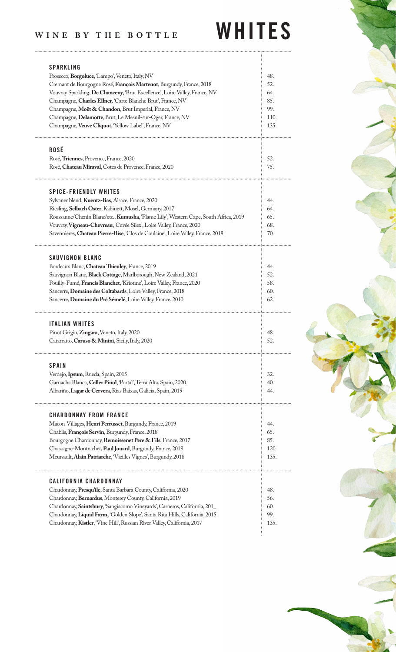## WINE BY THE BOTTLE WHITES

| <b>SPARKLING</b><br>Prosecco, Borgoluce, 'Lampo', Veneto, Italy, NV<br>Cremant de Bourgogne Rosé, François Martenot, Burgundy, France, 2018<br>Vouvray Sparkling, De Chanceny, 'Brut Excellence', Loire Valley, France, NV<br>Champagne, Charles Ellner, 'Carte Blanche Brut', France, NV<br>Champagne, Moët & Chandon, Brut Imperial, France, NV<br>Champagne, Delamotte, Brut, Le Mesnil-sur-Oger, France, NV<br>Champagne, Veuve Cliquot, 'Yellow Label', France, NV | 48.<br>52.<br>64.<br>85.<br>99.<br>110.<br>135. |
|-------------------------------------------------------------------------------------------------------------------------------------------------------------------------------------------------------------------------------------------------------------------------------------------------------------------------------------------------------------------------------------------------------------------------------------------------------------------------|-------------------------------------------------|
| <b>ROSÉ</b><br>Rosé, Triennes, Provence, France, 2020<br>Rosé, Chateau Miraval, Cotes de Provence, France, 2020                                                                                                                                                                                                                                                                                                                                                         | 52.<br>75.                                      |
| <b>SPICE-FRIENDLY WHITES</b><br>Sylvaner blend, Kuentz-Bas, Alsace, France, 2020<br>Riesling, Selbach Oster, Kabinett, Mosel, Germany, 2017<br>Roussanne/Chenin Blanc/etc., Kumusha, 'Flame Lily', Western Cape, South Africa, 2019<br>Vouvray, Vigneau-Chevreau, 'Cuvée Silex', Loire Valley, France, 2020<br>Savennieres, Chateau Pierre-Bise, 'Clos de Coulaine', Loire Valley, France, 2018                                                                         | 44.<br>64.<br>65.<br>68.<br>70.                 |
| <b>SAUVIGNON BLANC</b><br>Bordeaux Blanc, Chateau Thieuley, France, 2019<br>Sauvignon Blanc, Black Cottage, Marlborough, New Zealand, 2021<br>Pouilly-Fumé, Francis Blanchet, 'Kriotine', Loire Valley, France, 2020<br>Sancerre, Domaine des Coltabards, Loire Valley, France, 2018<br>Sancerre, Domaine du Pré Sémelé, Loire Valley, France, 2010                                                                                                                     | 44.<br>52.<br>58.<br>60.<br>62.                 |
| <b>ITALIAN WHITES</b><br>Pinot Grigio, Zingara, Veneto, Italy, 2020<br>Catarratto, Caruso & Minini, Sicily, Italy, 2020                                                                                                                                                                                                                                                                                                                                                 | 48.<br>52.                                      |
| <b>SPAIN</b><br>Verdejo, Ipsum, Rueda, Spain, 2015<br>Garnacha Blanca, Celler Piñol, 'Portal', Terra Alta, Spain, 2020<br>Albariño, Lagar de Cervera, Rias Baixas, Galicia, Spain, 2019                                                                                                                                                                                                                                                                                 | 32.<br>40.<br>44.                               |
| <b>CHARDONNAY FROM FRANCE</b><br>Macon-Villages, Henri Perrusset, Burgundy, France, 2019<br>Chablis, François Servin, Burgundy, France, 2018<br>Bourgogne Chardonnay, Remoissenet Pere & Fils, France, 2017<br>Chassagne-Montrachet, Paul Jouard, Burgundy, France, 2018<br>Meursault, Alain Patriarche, 'Vieilles Vignes', Burgundy, 2018                                                                                                                              | 44.<br>65.<br>85.<br>120.<br>135.               |
| <b>CALIFORNIA CHARDONNAY</b><br>Chardonnay, Presqu'ile, Santa Barbara County, California, 2020<br>Chardonnay, Bernardus, Monterey County, California, 2019<br>Chardonnay, Saintsbury, 'Sangiacomo Vineyards', Carneros, California, 201_<br>Chardonnay, Liquid Farm, 'Golden Slope', Santa Rita Hills, California, 2015<br>Chardonnay, Kistler, 'Vine Hill', Russian River Valley, California, 2017                                                                     | 48.<br>56.<br>60.<br>99.<br>135.                |